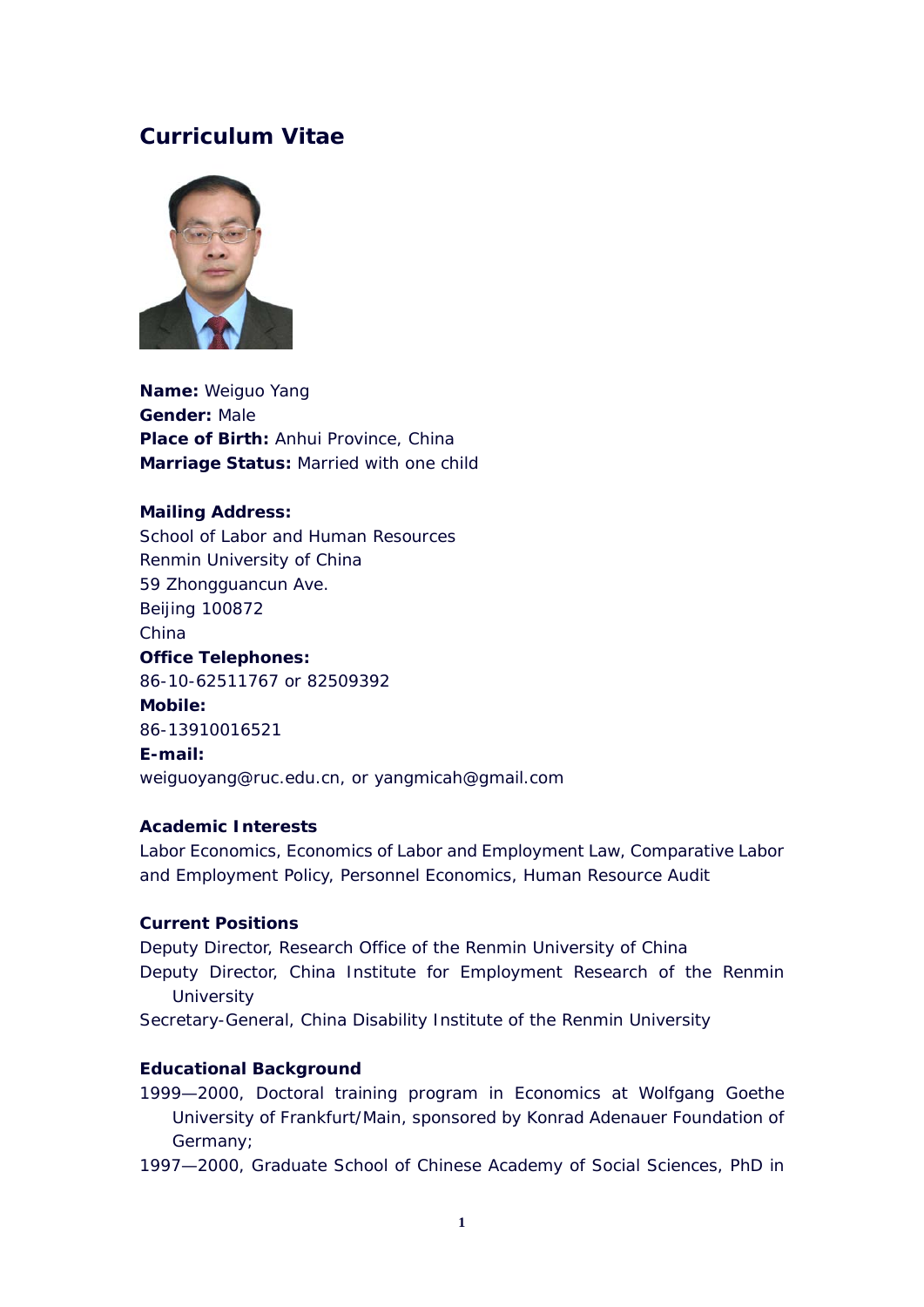# **Curriculum Vitae**



**Name:** Weiguo Yang **Gender:** Male **Place of Birth:** Anhui Province, China **Marriage Status:** Married with one child

# **Mailing Address:**

School of Labor and Human Resources Renmin University of China 59 Zhongguancun Ave. Beijing 100872 China **Office Telephones:**  86-10-62511767 or 82509392 **Mobile:**  86-13910016521 **E-mail:** weiguoyang@ruc.edu.cn, or yangmicah@gmail.com

# **Academic Interests**

Labor Economics, Economics of Labor and Employment Law, Comparative Labor and Employment Policy, Personnel Economics, Human Resource Audit

# **Current Positions**

Deputy Director, Research Office of the Renmin University of China Deputy Director, China Institute for Employment Research of the Renmin **University** Secretary-General, China Disability Institute of the Renmin University

# **Educational Background**

1999—2000, Doctoral training program in Economics at Wolfgang Goethe University of Frankfurt/Main, sponsored by Konrad Adenauer Foundation of Germany;

1997—2000, Graduate School of Chinese Academy of Social Sciences, PhD in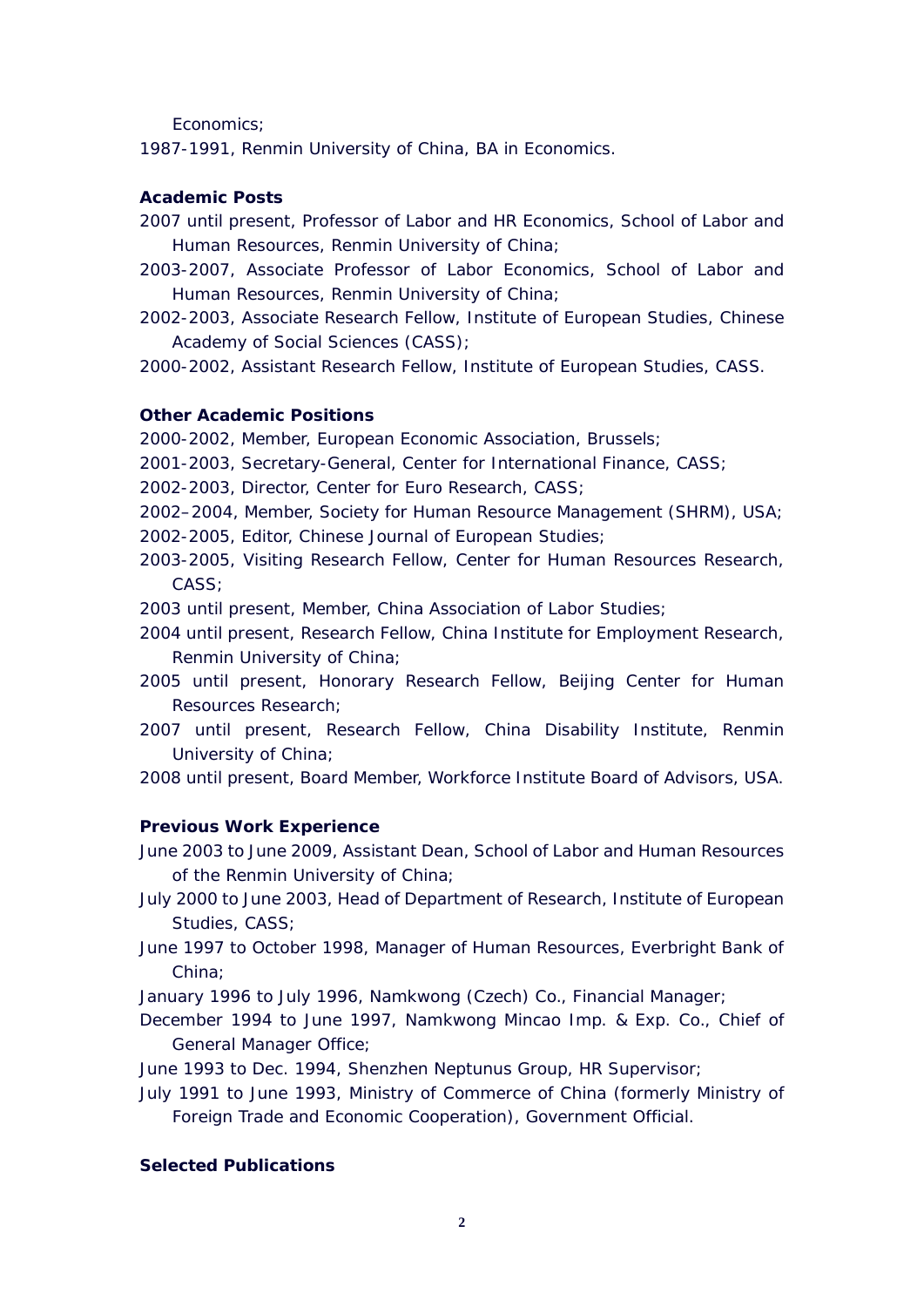Economics;

1987-1991, Renmin University of China, BA in Economics.

## **Academic Posts**

- 2007 until present, Professor of Labor and HR Economics, School of Labor and Human Resources, Renmin University of China;
- 2003-2007, Associate Professor of Labor Economics, School of Labor and Human Resources, Renmin University of China;
- 2002-2003, Associate Research Fellow, Institute of European Studies, Chinese Academy of Social Sciences (CASS);

2000-2002, Assistant Research Fellow, Institute of European Studies, CASS.

## **Other Academic Positions**

2000-2002, Member, European Economic Association, Brussels;

- 2001-2003, Secretary-General, Center for International Finance, CASS;
- 2002-2003, Director, Center for Euro Research, CASS;
- 2002–2004, Member, Society for Human Resource Management (SHRM), USA;
- 2002-2005, Editor, Chinese Journal of European Studies;
- 2003-2005, Visiting Research Fellow, Center for Human Resources Research, CASS;
- 2003 until present, Member, China Association of Labor Studies;
- 2004 until present, Research Fellow, China Institute for Employment Research, Renmin University of China;
- 2005 until present, Honorary Research Fellow, Beijing Center for Human Resources Research;
- 2007 until present, Research Fellow, China Disability Institute, Renmin University of China;

2008 until present, Board Member, Workforce Institute Board of Advisors, USA.

#### **Previous Work Experience**

June 2003 to June 2009, Assistant Dean, School of Labor and Human Resources of the Renmin University of China;

- July 2000 to June 2003, Head of Department of Research, Institute of European Studies, CASS;
- June 1997 to October 1998, Manager of Human Resources, Everbright Bank of China;

January 1996 to July 1996, Namkwong (Czech) Co., Financial Manager;

December 1994 to June 1997, Namkwong Mincao Imp. & Exp. Co., Chief of General Manager Office;

June 1993 to Dec. 1994, Shenzhen Neptunus Group, HR Supervisor;

July 1991 to June 1993, Ministry of Commerce of China (formerly Ministry of Foreign Trade and Economic Cooperation), Government Official.

## **Selected Publications**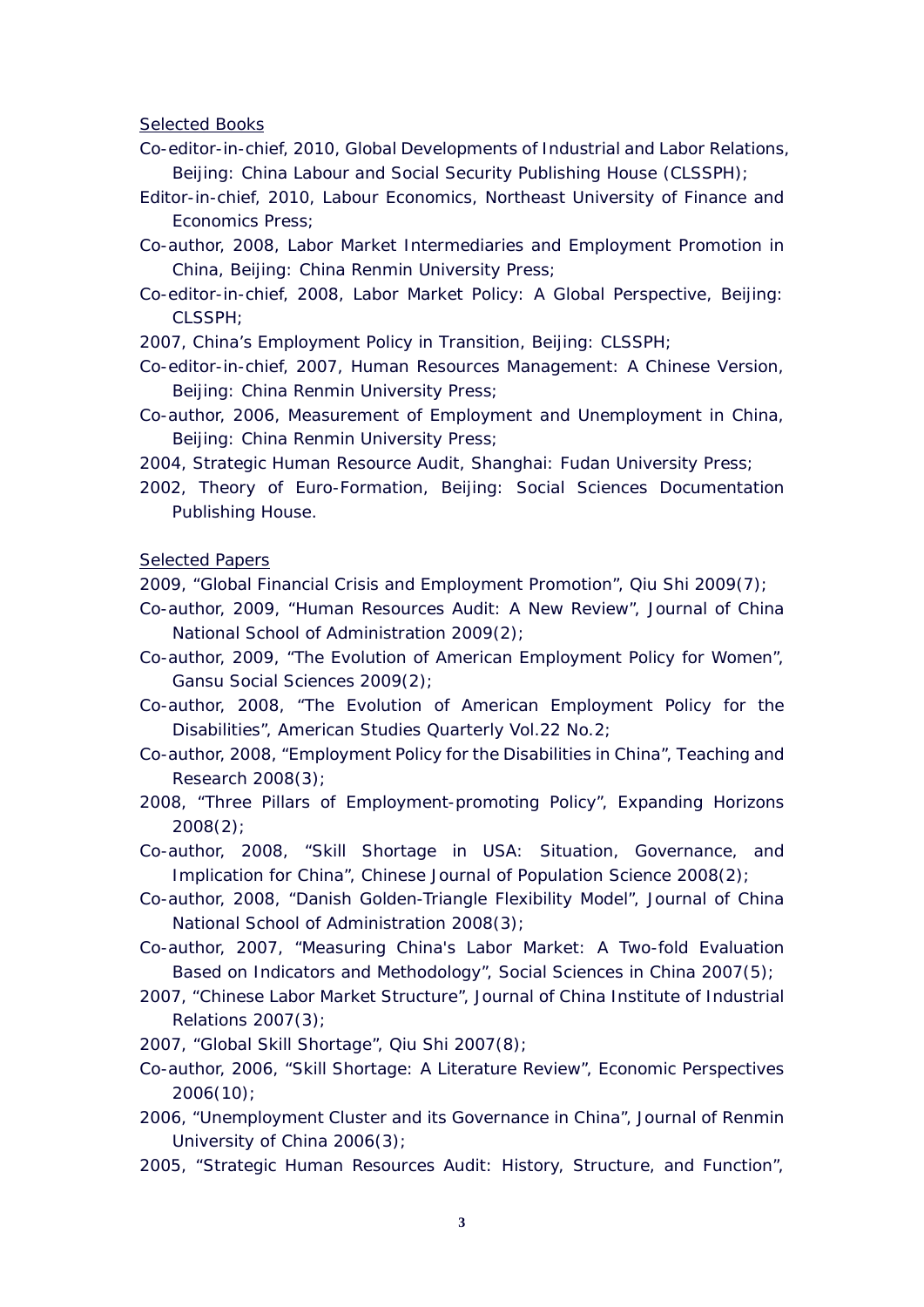Selected Books

- Co-editor-in-chief, 2010, *Global Developments of Industrial and Labor Relations*, Beijing: China Labour and Social Security Publishing House (CLSSPH);
- Editor-in-chief, 2010, Labour Economics, Northeast University of Finance and Economics Press;

Co-author, 2008, *Labor Market Intermediaries and Employment Promotion in China*, Beijing: China Renmin University Press;

- Co-editor-in-chief, 2008, *Labor Market Policy: A Global Perspective*, Beijing: CLSSPH;
- 2007, *China's Employment Policy in Transition*, Beijing: CLSSPH;

Co-editor-in-chief, 2007, *Human Resources Management: A Chinese Version*, Beijing: China Renmin University Press;

Co-author, 2006, *Measurement of Employment and Unemployment in China*, Beijing: China Renmin University Press:

2004, *Strategic Human Resource Audit*, Shanghai: Fudan University Press;

2002, *Theory of Euro-Formation*, Beijing: Social Sciences Documentation Publishing House.

Selected Papers

2009, "Global Financial Crisis and Employment Promotion", *Qiu Shi* 2009(7);

- Co-author, 2009, "Human Resources Audit: A New Review", *Journal of China National School of Administration* 2009(2);
- Co-author, 2009, "The Evolution of American Employment Policy for Women", *Gansu Social Sciences* 2009(2);
- Co-author, 2008, "The Evolution of American Employment Policy for the Disabilities", American Studies Quarterly Vol.22 No.2;
- Co-author, 2008, "Employment Policy for the Disabilities in China", *Teaching and Research* 2008(3);
- 2008, "Three Pillars of Employment-promoting Policy", *Expanding Horizons* 2008(2);

Co-author, 2008, "Skill Shortage in USA: Situation, Governance, and Implication for China", *Chinese Journal of Population Science* 2008(2);

Co-author, 2008, "Danish Golden-Triangle Flexibility Model", *Journal of China National School of Administration* 2008(3);

Co-author, 2007, "Measuring China's Labor Market: A Two-fold Evaluation Based on Indicators and Methodology", *Social Sciences in China* 2007(5);

- 2007, "Chinese Labor Market Structure", *Journal of China Institute of Industrial Relations* 2007(3);
- 2007, "Global Skill Shortage", *Qiu Shi* 2007(8);
- Co-author, 2006, "Skill Shortage: A Literature Review", *Economic Perspectives* 2006(10);
- 2006, "Unemployment Cluster and its Governance in China", *Journal of Renmin University of China* 2006(3);
- 2005, "Strategic Human Resources Audit: History, Structure, and Function",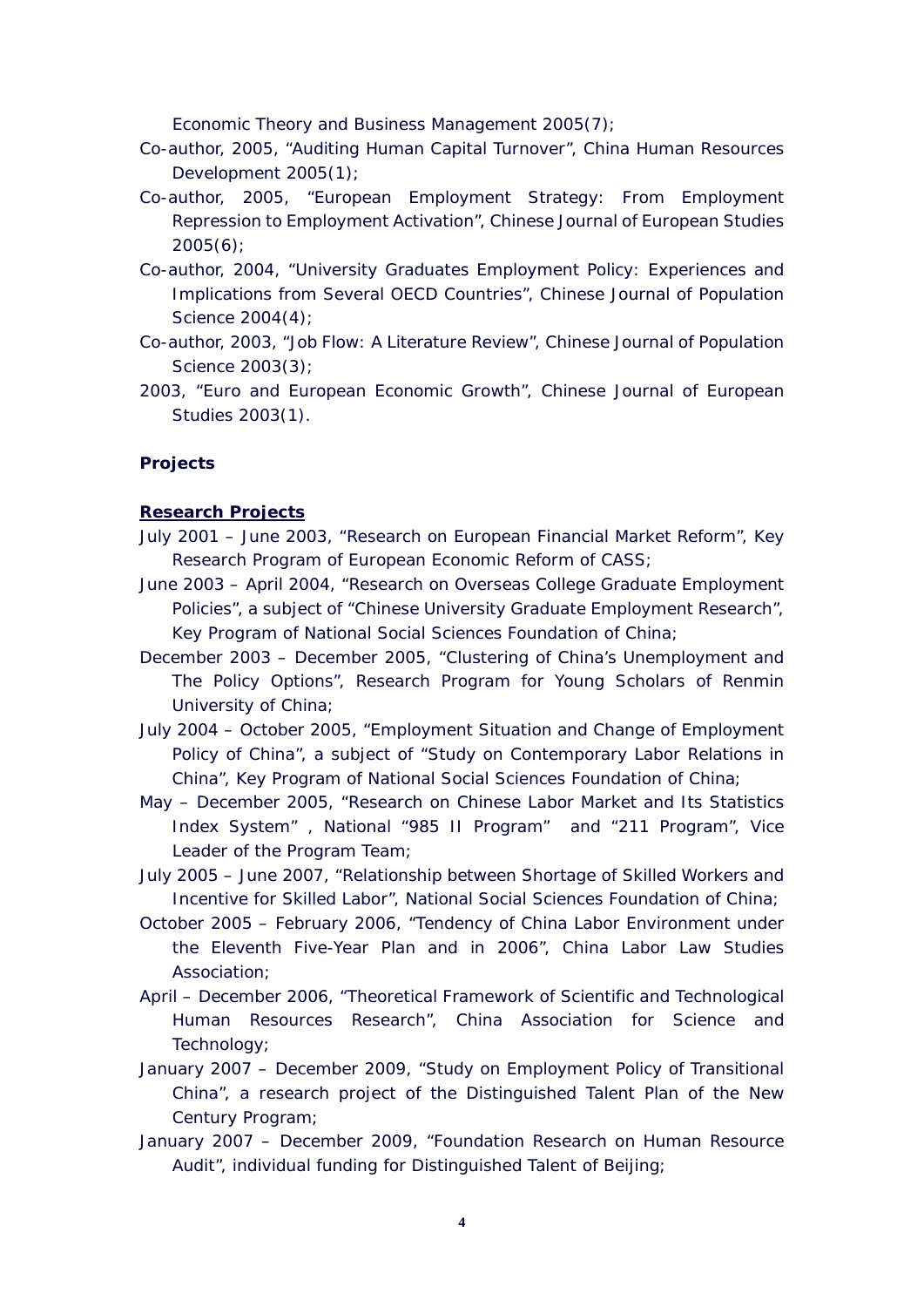*Economic Theory and Business Management* 2005(7);

- Co-author, 2005, "Auditing Human Capital Turnover", *China Human Resources Development* 2005(1);
- Co-author, 2005, "European Employment Strategy: From Employment Repression to Employment Activation", *Chinese Journal of European Studies* 2005(6);
- Co-author, 2004, "University Graduates Employment Policy: Experiences and Implications from Several OECD Countries", *Chinese Journal of Population Science* 2004(4);
- Co-author, 2003, "Job Flow: A Literature Review", *Chinese Journal of Population Science* 2003(3);
- 2003, "Euro and European Economic Growth", *Chinese Journal of European Studies* 2003(1).

## **Projects**

## **Research Projects**

- July 2001 June 2003, "Research on European Financial Market Reform", Key Research Program of European Economic Reform of CASS;
- June 2003 April 2004, "Research on Overseas College Graduate Employment Policies", a subject of "Chinese University Graduate Employment Research", Key Program of National Social Sciences Foundation of China;
- December 2003 December 2005, "Clustering of China's Unemployment and The Policy Options", Research Program for Young Scholars of Renmin University of China;
- July 2004 October 2005, "Employment Situation and Change of Employment Policy of China", a subject of "Study on Contemporary Labor Relations in China", Key Program of National Social Sciences Foundation of China;
- May December 2005, "Research on Chinese Labor Market and Its Statistics Index System" , National "985 II Program" and "211 Program", Vice Leader of the Program Team;
- July 2005 June 2007, "Relationship between Shortage of Skilled Workers and Incentive for Skilled Labor", National Social Sciences Foundation of China;
- October 2005 February 2006, "Tendency of China Labor Environment under the Eleventh Five-Year Plan and in 2006", China Labor Law Studies Association;
- April December 2006, "Theoretical Framework of Scientific and Technological Human Resources Research", China Association for Science and Technology;
- January 2007 December 2009, "Study on Employment Policy of Transitional China", a research project of the Distinguished Talent Plan of the New Century Program;
- January 2007 December 2009, "Foundation Research on Human Resource Audit", individual funding for Distinguished Talent of Beijing;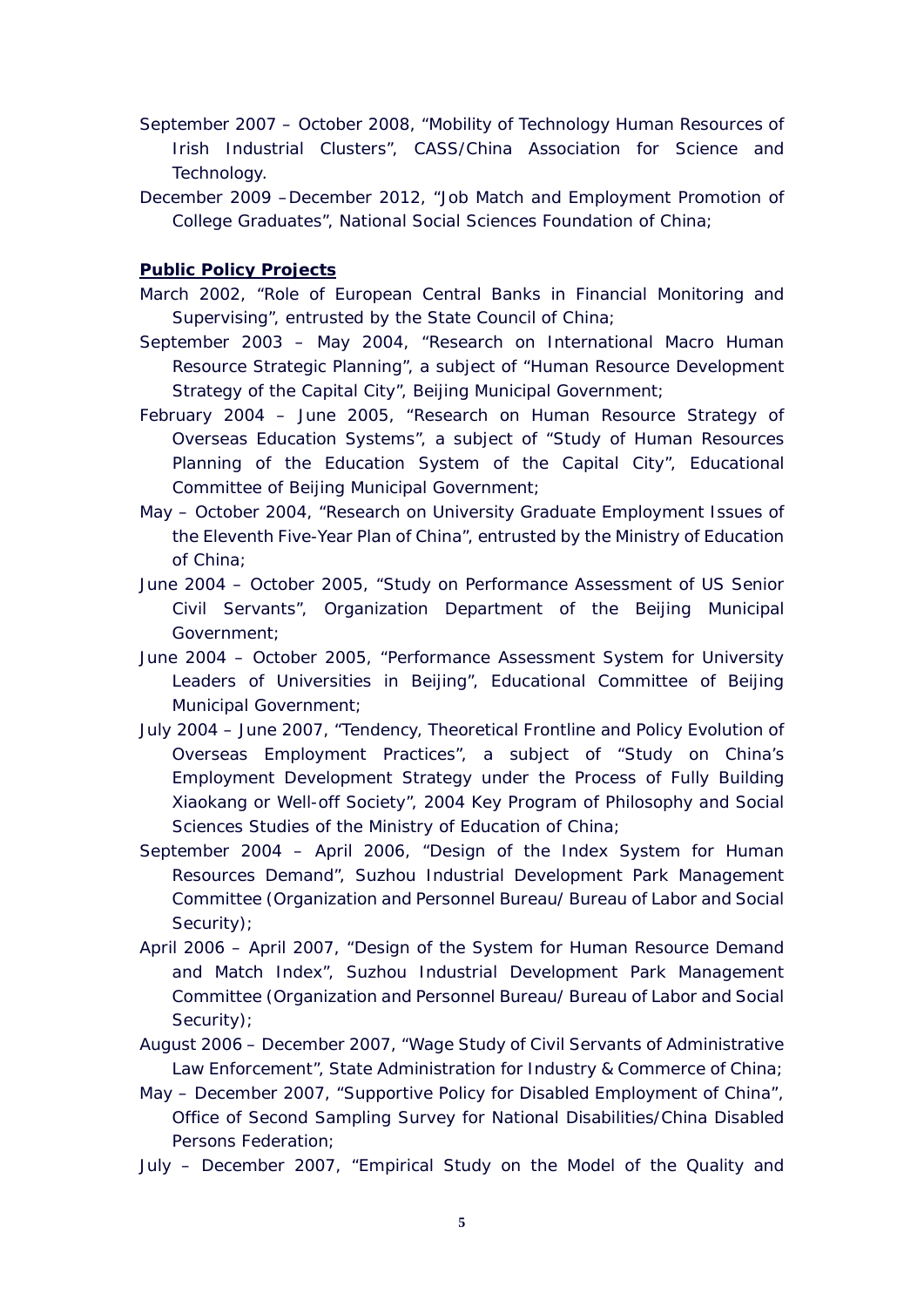- September 2007 October 2008, "Mobility of Technology Human Resources of Irish Industrial Clusters", CASS/China Association for Science and Technology.
- December 2009 –December 2012, "Job Match and Employment Promotion of College Graduates", National Social Sciences Foundation of China;

## **Public Policy Projects**

- March 2002, "Role of European Central Banks in Financial Monitoring and Supervising", entrusted by the State Council of China;
- September 2003 May 2004, "Research on International Macro Human Resource Strategic Planning", a subject of "Human Resource Development Strategy of the Capital City", Beijing Municipal Government;
- February 2004 June 2005, "Research on Human Resource Strategy of Overseas Education Systems", a subject of "Study of Human Resources Planning of the Education System of the Capital City", Educational Committee of Beijing Municipal Government;
- May October 2004, "Research on University Graduate Employment Issues of the Eleventh Five-Year Plan of China", entrusted by the Ministry of Education of China;
- June 2004 October 2005, "Study on Performance Assessment of US Senior Civil Servants", Organization Department of the Beijing Municipal Government;
- June 2004 October 2005, "Performance Assessment System for University Leaders of Universities in Beijing", Educational Committee of Beijing Municipal Government;
- July 2004 June 2007, "Tendency, Theoretical Frontline and Policy Evolution of Overseas Employment Practices", a subject of "Study on China's Employment Development Strategy under the Process of Fully Building *Xiaokang* or Well-off Society", 2004 Key Program of Philosophy and Social Sciences Studies of the Ministry of Education of China;
- September 2004 April 2006, "Design of the Index System for Human Resources Demand", Suzhou Industrial Development Park Management Committee (Organization and Personnel Bureau/ Bureau of Labor and Social Security);
- April 2006 April 2007, "Design of the System for Human Resource Demand and Match Index", Suzhou Industrial Development Park Management Committee (Organization and Personnel Bureau/ Bureau of Labor and Social Security);
- August 2006 December 2007, "Wage Study of Civil Servants of Administrative Law Enforcement", State Administration for Industry & Commerce of China;
- May December 2007, "Supportive Policy for Disabled Employment of China", Office of Second Sampling Survey for National Disabilities/China Disabled Persons Federation;
- July December 2007, "Empirical Study on the Model of the Quality and